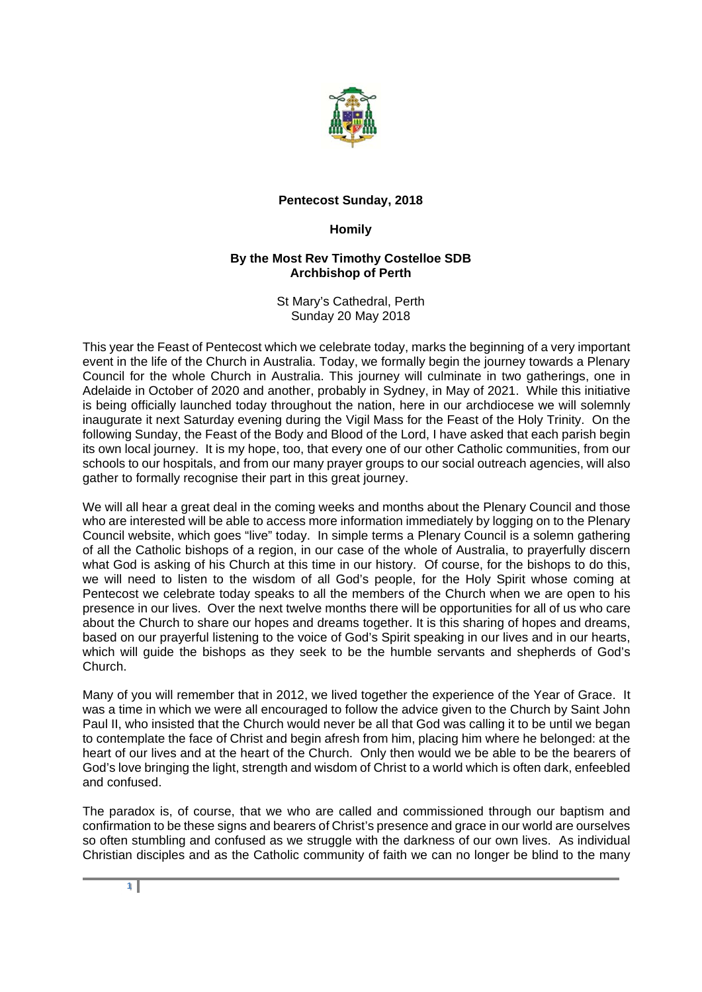

## **Pentecost Sunday, 2018**

## **Homily**

## **By the Most Rev Timothy Costelloe SDB Archbishop of Perth**

St Mary's Cathedral, Perth Sunday 20 May 2018

This year the Feast of Pentecost which we celebrate today, marks the beginning of a very important event in the life of the Church in Australia. Today, we formally begin the journey towards a Plenary Council for the whole Church in Australia. This journey will culminate in two gatherings, one in Adelaide in October of 2020 and another, probably in Sydney, in May of 2021. While this initiative is being officially launched today throughout the nation, here in our archdiocese we will solemnly inaugurate it next Saturday evening during the Vigil Mass for the Feast of the Holy Trinity. On the following Sunday, the Feast of the Body and Blood of the Lord, I have asked that each parish begin its own local journey. It is my hope, too, that every one of our other Catholic communities, from our schools to our hospitals, and from our many prayer groups to our social outreach agencies, will also gather to formally recognise their part in this great journey.

We will all hear a great deal in the coming weeks and months about the Plenary Council and those who are interested will be able to access more information immediately by logging on to the Plenary Council website, which goes "live" today. In simple terms a Plenary Council is a solemn gathering of all the Catholic bishops of a region, in our case of the whole of Australia, to prayerfully discern what God is asking of his Church at this time in our history. Of course, for the bishops to do this, we will need to listen to the wisdom of all God's people, for the Holy Spirit whose coming at Pentecost we celebrate today speaks to all the members of the Church when we are open to his presence in our lives. Over the next twelve months there will be opportunities for all of us who care about the Church to share our hopes and dreams together. It is this sharing of hopes and dreams, based on our prayerful listening to the voice of God's Spirit speaking in our lives and in our hearts, which will guide the bishops as they seek to be the humble servants and shepherds of God's Church.

Many of you will remember that in 2012, we lived together the experience of the Year of Grace. It was a time in which we were all encouraged to follow the advice given to the Church by Saint John Paul II, who insisted that the Church would never be all that God was calling it to be until we began to contemplate the face of Christ and begin afresh from him, placing him where he belonged: at the heart of our lives and at the heart of the Church. Only then would we be able to be the bearers of God's love bringing the light, strength and wisdom of Christ to a world which is often dark, enfeebled and confused.

The paradox is, of course, that we who are called and commissioned through our baptism and confirmation to be these signs and bearers of Christ's presence and grace in our world are ourselves so often stumbling and confused as we struggle with the darkness of our own lives. As individual Christian disciples and as the Catholic community of faith we can no longer be blind to the many